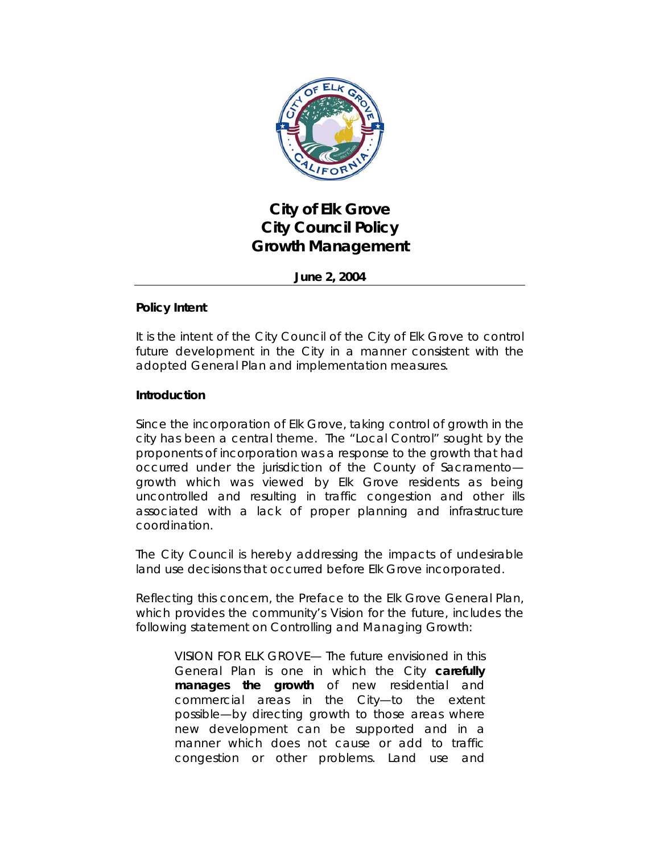

# **City of Elk Grove City Council Policy Growth Management**

**June 2, 2004**

# **Policy Intent**

It is the intent of the City Council of the City of Elk Grove to control future development in the City in a manner consistent with the adopted General Plan and implementation measures.

## **Introduction**

Since the incorporation of Elk Grove, taking control of growth in the city has been a central theme. The "Local Control" sought by the proponents of incorporation was a response to the growth that had occurred under the jurisdiction of the County of Sacramento growth which was viewed by Elk Grove residents as being uncontrolled and resulting in traffic congestion and other ills associated with a lack of proper planning and infrastructure coordination.

The City Council is hereby addressing the impacts of undesirable land use decisions that occurred before Elk Grove incorporated.

Reflecting this concern, the Preface to the Elk Grove General Plan, which provides the community's Vision for the future, includes the following statement on Controlling and Managing Growth:

*VISION FOR ELK GROVE— The future envisioned in this General Plan is one in which the City carefully manages the growth of new residential and commercial areas in the City—to the extent possible—by directing growth to those areas where new development can be supported and in a manner which does not cause or add to traffic congestion or other problems. Land use and*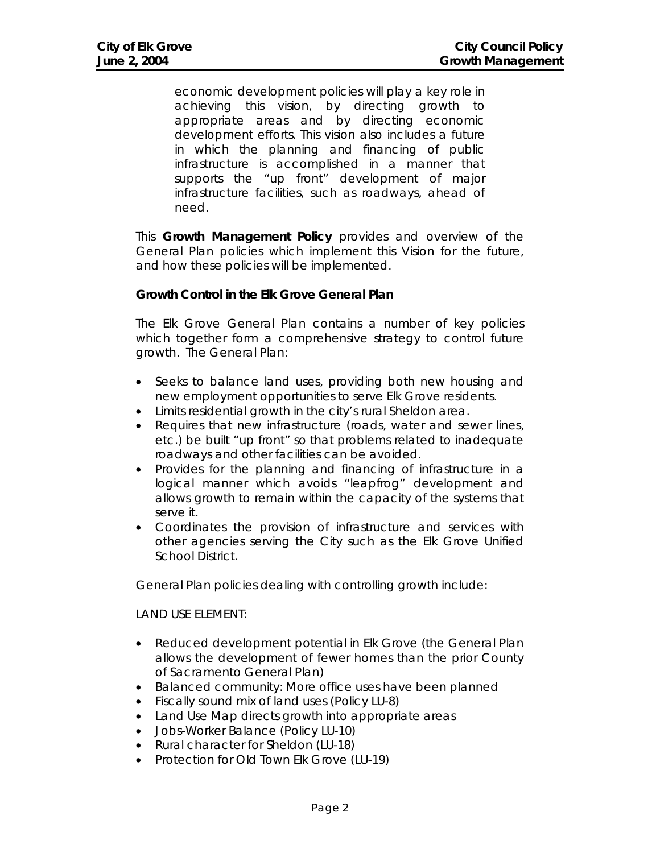*economic development policies will play a key role in achieving this vision, by directing growth to appropriate areas and by directing economic development efforts. This vision also includes a future in which the planning and financing of public infrastructure is accomplished in a manner that supports the "up front" development of major infrastructure facilities, such as roadways, ahead of need.* 

This **Growth Management Policy** provides and overview of the General Plan policies which implement this Vision for the future, and how these policies will be implemented.

#### **Growth Control in the Elk Grove General Plan**

The Elk Grove General Plan contains a number of key policies which together form a comprehensive strategy to control future growth. The General Plan:

- Seeks to balance land uses, providing both new housing *and* new employment opportunities to serve Elk Grove residents.
- Limits residential growth in the city's rural Sheldon area.
- Requires that new infrastructure (roads, water and sewer lines, etc.) be built "up front" so that problems related to inadequate roadways and other facilities can be avoided.
- Provides for the planning and financing of infrastructure in a logical manner which avoids "leapfrog" development and allows growth to remain within the capacity of the systems that serve it.
- Coordinates the provision of infrastructure and services with other agencies serving the City such as the Elk Grove Unified School District.

General Plan policies dealing with controlling growth include:

#### *LAND USE ELEMENT:*

- Reduced development potential in Elk Grove (the General Plan allows the development of fewer homes than the prior County of Sacramento General Plan)
- Balanced community: More office uses have been planned
- Fiscally sound mix of land uses (Policy LU-8)
- Land Use Map directs growth into appropriate areas
- Jobs-Worker Balance (Policy LU-10)
- Rural character for Sheldon (LU-18)
- Protection for Old Town Elk Grove (LU-19)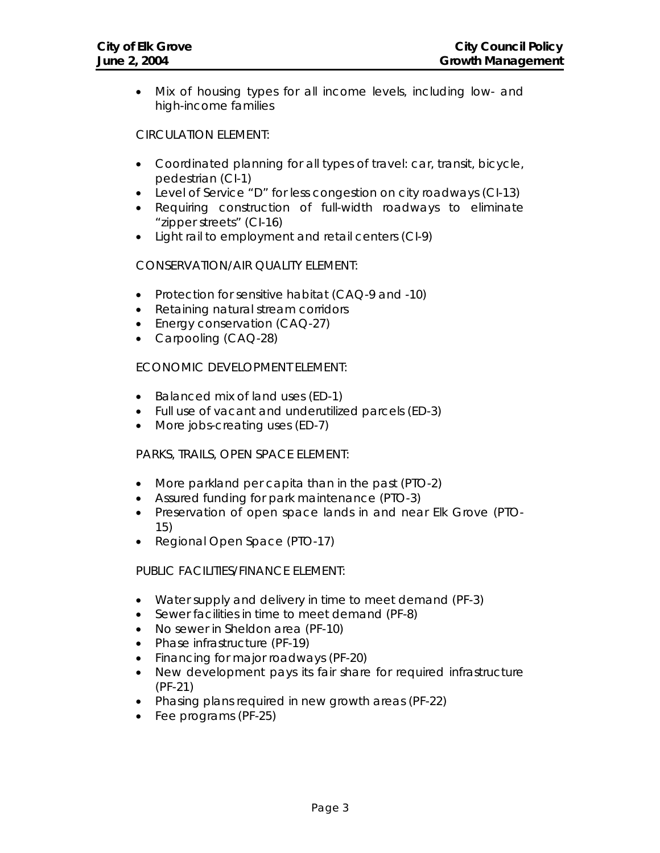• Mix of housing types for all income levels, including low- and high-income families

#### *CIRCULATION ELEMENT:*

- Coordinated planning for all types of travel: car, transit, bicycle, pedestrian (CI-1)
- Level of Service "D" for less congestion on city roadways (CI-13)
- Requiring construction of full-width roadways to eliminate "zipper streets" (CI-16)
- Light rail to employment and retail centers (CI-9)

## *CONSERVATION/AIR QUALITY ELEMENT:*

- Protection for sensitive habitat (CAQ-9 and -10)
- Retaining natural stream corridors
- Energy conservation (CAQ-27)
- Carpooling (CAQ-28)

# *ECONOMIC DEVELOPMENT ELEMENT:*

- Balanced mix of land uses (ED-1)
- Full use of vacant and underutilized parcels (ED-3)
- More jobs-creating uses (ED-7)

## *PARKS, TRAILS, OPEN SPACE ELEMENT:*

- More parkland per capita than in the past (PTO-2)
- Assured funding for park maintenance (PTO-3)
- Preservation of open space lands in and near Elk Grove (PTO-15)
- Regional Open Space (PTO-17)

## *PUBLIC FACILITIES/FINANCE ELEMENT:*

- Water supply and delivery in time to meet demand (PF-3)
- Sewer facilities in time to meet demand (PF-8)
- No sewer in Sheldon area (PF-10)
- Phase infrastructure (PF-19)
- Financing for major roadways (PF-20)
- New development pays its fair share for required infrastructure (PF-21)
- Phasing plans required in new growth areas (PF-22)
- Fee programs (PF-25)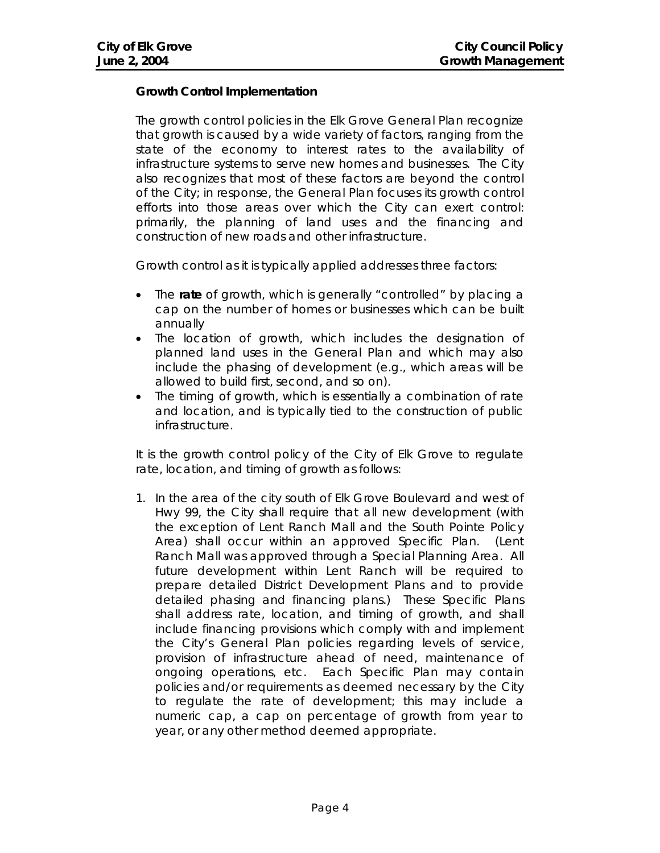# **Growth Control Implementation**

The growth control policies in the Elk Grove General Plan recognize that growth is caused by a wide variety of factors, ranging from the state of the economy to interest rates to the availability of infrastructure systems to serve new homes and businesses. The City also recognizes that most of these factors are beyond the control of the City; in response, the General Plan focuses its growth control efforts into those areas over which the City can exert control: primarily, the planning of land uses and the financing and construction of new roads and other infrastructure.

Growth control as it is typically applied addresses three factors:

- The **rate** of growth, which is generally "controlled" by placing a cap on the number of homes or businesses which can be built annually
- The location of growth, which includes the designation of planned land uses in the General Plan and which may also include the phasing of development (e.g., which areas will be allowed to build first, second, and so on).
- The timing of growth, which is essentially a combination of rate and location, and is typically tied to the construction of public infrastructure.

It is the growth control policy of the City of Elk Grove to regulate rate, location, and timing of growth as follows:

1. In the area of the city south of Elk Grove Boulevard and west of Hwy 99, the City shall require that all new development (with the exception of Lent Ranch Mall and the South Pointe Policy Area) shall occur within an approved Specific Plan. (Lent Ranch Mall was approved through a Special Planning Area. All future development within Lent Ranch will be required to prepare detailed District Development Plans and to provide detailed phasing and financing plans.) These Specific Plans shall address rate, location, and timing of growth, and shall include financing provisions which comply with and implement the City's General Plan policies regarding levels of service, provision of infrastructure ahead of need, maintenance of ongoing operations, etc. Each Specific Plan may contain policies and/or requirements as deemed necessary by the City to regulate the rate of development; this may include a numeric cap, a cap on percentage of growth from year to year, or any other method deemed appropriate.